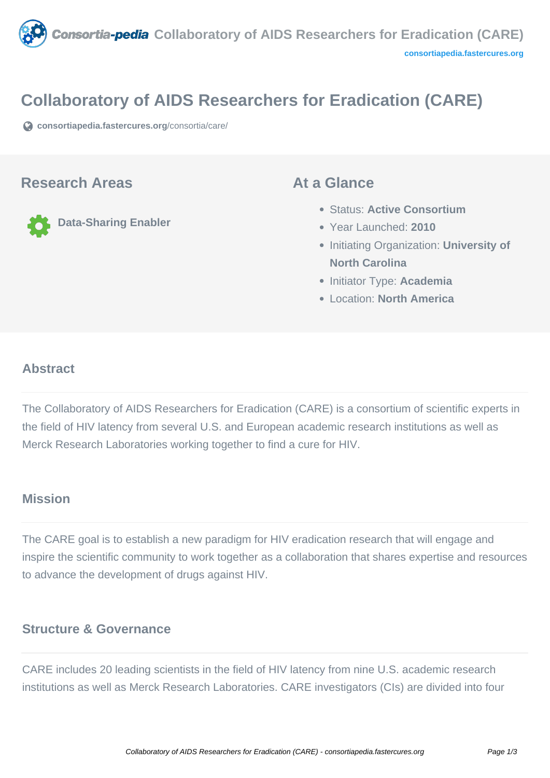

# **Collaboratory of AIDS Researchers for Eradication (CARE)**

**[consortiapedia.fastercures.org](https://consortiapedia.fastercures.org/consortia/care/)**[/consortia/care/](https://consortiapedia.fastercures.org/consortia/care/)

#### **Research Areas**

**Data-Sharing Enabler**

#### **At a Glance**

- Status: **Active Consortium**
- Year Launched: **2010**
- **Initiating Organization: University of North Carolina**
- **Initiator Type: Academia**
- Location: **North America**

#### $\overline{a}$ **Abstract**

The Collaboratory of AIDS Researchers for Eradication (CARE) is a consortium of scientific experts in the field of HIV latency from several U.S. and European academic research institutions as well as Merck Research Laboratories working together to find a cure for HIV.

## **Mission**

The CARE goal is to establish a new paradigm for HIV eradication research that will engage and inspire the scientific community to work together as a collaboration that shares expertise and resources to advance the development of drugs against HIV.

## **Structure & Governance**

CARE includes 20 leading scientists in the field of HIV latency from nine U.S. academic research institutions as well as Merck Research Laboratories. CARE investigators (CIs) are divided into four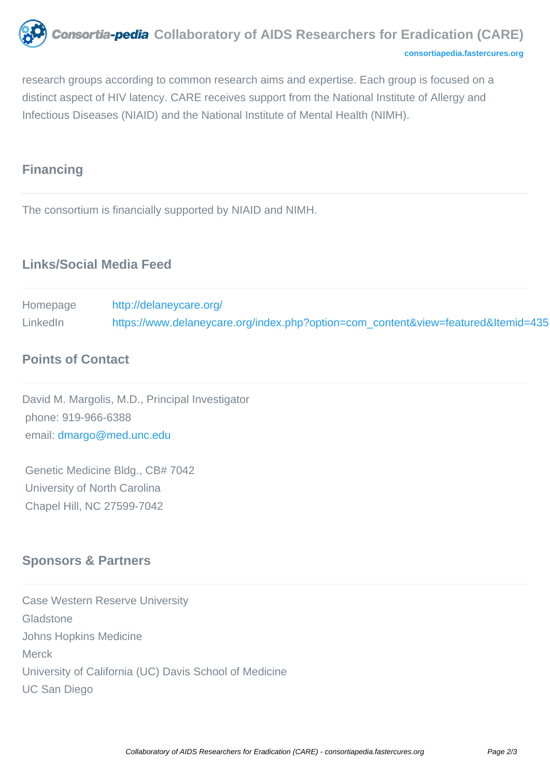

research groups according to common research aims and expertise. Each group is focused on a distinct aspect of HIV latency. CARE receives support from the National Institute of Allergy and Infectious Diseases (NIAID) and the National Institute of Mental Health (NIMH).

# **Financing**

The consortium is financially supported by NIAID and NIMH.

# **Links/Social Media Feed**

Homepage [http://delaneycare.org/](https://www.delaneycare.org/index.php?option=com_content&view=featured&Itemid=435) LinkedIn [https://www.delaneycare.org/index.php?option=com\\_content&view=featured&Itemid=435](https://www.delaneycare.org/index.php?option=com_content&view=featured&Itemid=435)

# **Points of Contact**

David M. Margolis, M.D., Principal Investigator phone: 919-966-6388 email: [dmargo@med.unc.edu](mailto:dmargo@med.unc.edu)

 Genetic Medicine Bldg., CB# 7042 University of North Carolina Chapel Hill, NC 27599-7042

## **Sponsors & Partners**

Case Western Reserve University Gladstone Johns Hopkins Medicine Merck University of California (UC) Davis School of Medicine UC San Diego